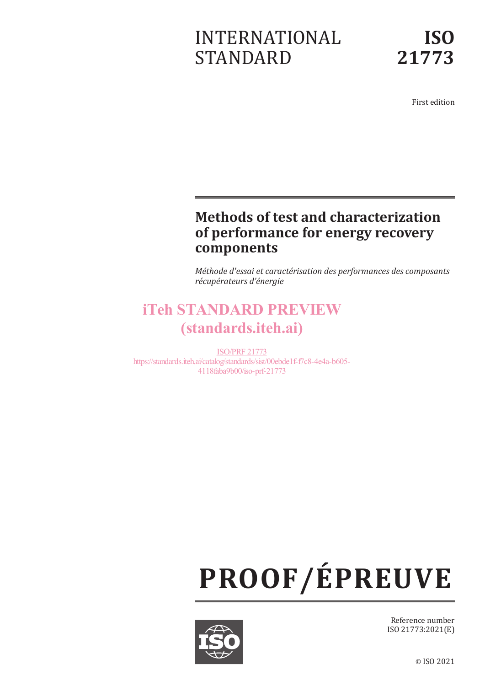# INTERNATIONAL STANDARD

First edition

## **Methods of test and characterization of performance for energy recovery components**

*Méthode d'essai et caractérisation des performances des composants récupérateurs d'énergie*

# iTeh STANDARD PREVIEW (standards.iteh.ai)

ISO/PRF 21773 https://standards.iteh.ai/catalog/standards/sist/00ebde1f-f7c8-4e4a-b605- 4118faba9b00/iso-prf-21773

# **PROOF/ÉPREUVE**



Reference number ISO 21773:2021(E)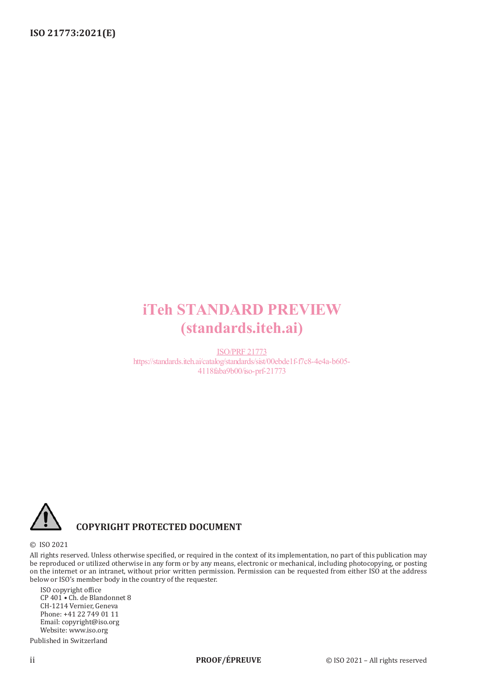## iTeh STANDARD PREVIEW (standards.iteh.ai)

ISO/PRF 21773 https://standards.iteh.ai/catalog/standards/sist/00ebde1f-f7c8-4e4a-b605- 4118faba9b00/iso-prf-21773



#### **COPYRIGHT PROTECTED DOCUMENT**

#### © ISO 2021

All rights reserved. Unless otherwise specified, or required in the context of its implementation, no part of this publication may be reproduced or utilized otherwise in any form or by any means, electronic or mechanical, including photocopying, or posting on the internet or an intranet, without prior written permission. Permission can be requested from either ISO at the address below or ISO's member body in the country of the requester.

ISO copyright office CP 401 • Ch. de Blandonnet 8 CH-1214 Vernier, Geneva Phone: +41 22 749 01 11 Email: copyright@iso.org Website: www.iso.org

Published in Switzerland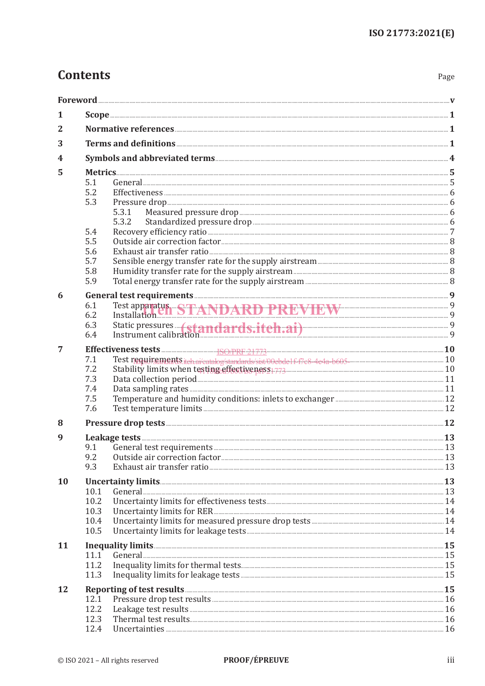## **Contents**

Page

| 1         |                                        | $\textbf{Scope} \texttt{} \texttt{} \texttt{} \texttt{} \texttt{} \texttt{} \texttt{} \texttt{} \texttt{} \texttt{} \texttt{} \texttt{} \texttt{} \texttt{} \texttt{} \texttt{} \texttt{} \texttt{} \texttt{} \texttt{} \texttt{} \texttt{} \texttt{} \texttt{} \texttt{} \texttt{} \texttt{} \texttt{} \texttt{} \texttt{} \texttt{} \texttt{} \texttt{} \texttt{} \texttt{} \texttt{$ |  |  |
|-----------|----------------------------------------|-----------------------------------------------------------------------------------------------------------------------------------------------------------------------------------------------------------------------------------------------------------------------------------------------------------------------------------------------------------------------------------------|--|--|
| 2         |                                        |                                                                                                                                                                                                                                                                                                                                                                                         |  |  |
| 3         |                                        |                                                                                                                                                                                                                                                                                                                                                                                         |  |  |
| 4         |                                        |                                                                                                                                                                                                                                                                                                                                                                                         |  |  |
| 5         | 5.1<br>5.2<br>5.3<br>5.4<br>5.5        | 5.3.1<br>5.3.2                                                                                                                                                                                                                                                                                                                                                                          |  |  |
|           | 5.6<br>5.7<br>5.8<br>5.9               | Exhaust air transfer ratio <b>metrical contracts</b> and a series of the series of the series of the series of the series of the series of the series of the series of the series of the series of the series of the series of the                                                                                                                                                      |  |  |
| 6         | 6.1<br>6.2<br>6.3<br>6.4               | Test apparatus STANDARD PREVIEW 9<br>Static pressures (standards.itch.ai) <sup>9</sup><br>Instrument calibration 3                                                                                                                                                                                                                                                                      |  |  |
| 7         | 7.1<br>7.2<br>7.3<br>7.4<br>7.5<br>7.6 | Effectiveness tests <b>Marshall REGARE 21773</b> 2000 10 10                                                                                                                                                                                                                                                                                                                             |  |  |
| 8         |                                        |                                                                                                                                                                                                                                                                                                                                                                                         |  |  |
| 9         | 9.1<br>9.3                             | 9.2 Outside air correction factor <u>Charles and the set of the set of the set of the set of the set of</u> and the set of the set of the set of the set of the set of the set of the set of the set of the set of the set of the s                                                                                                                                                     |  |  |
| <b>10</b> | 10.1<br>10.2<br>10.3<br>10.4<br>10.5   | Uncertainty limits 13<br>General 23 Archives 2014 13 Archives 2014 13 Archives 2014 13 Archives 2014 13 Archives 2014 13 Archives 2014 1                                                                                                                                                                                                                                                |  |  |
| 11        | Inequality limits 15                   |                                                                                                                                                                                                                                                                                                                                                                                         |  |  |
|           | 11.1<br>11.2<br>11.3                   | General 25 April 2014 15 April 2014 15 April 2014 15 April 2014 15 April 2014 15 April 2014 15 April 2014 15 April 2014 16 April 2014 16 April 2014 16 April 2014 16 April 2014 16 April 2014 16 April 2014 16 April 2014 16 A                                                                                                                                                          |  |  |
| 12        |                                        |                                                                                                                                                                                                                                                                                                                                                                                         |  |  |
|           | 12.1<br>12.2<br>12.3<br>12.4           |                                                                                                                                                                                                                                                                                                                                                                                         |  |  |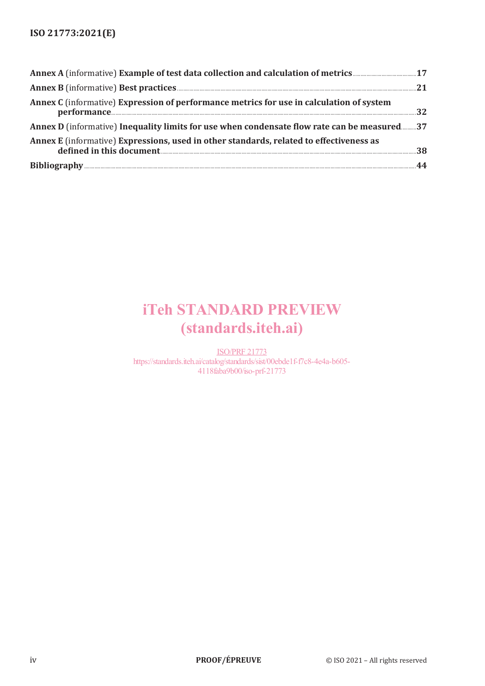| Annex C (informative) Expression of performance metrics for use in calculation of system    | 32 |
|---------------------------------------------------------------------------------------------|----|
| Annex D (informative) Inequality limits for use when condensate flow rate can be measured37 |    |
| Annex E (informative) Expressions, used in other standards, related to effectiveness as     | 38 |
| <b>Bibliography</b>                                                                         |    |

## iTeh STANDARD PREVIEW (standards.iteh.ai)

ISO/PRF 21773 https://standards.iteh.ai/catalog/standards/sist/00ebde1f-f7c8-4e4a-b605- 4118faba9b00/iso-prf-21773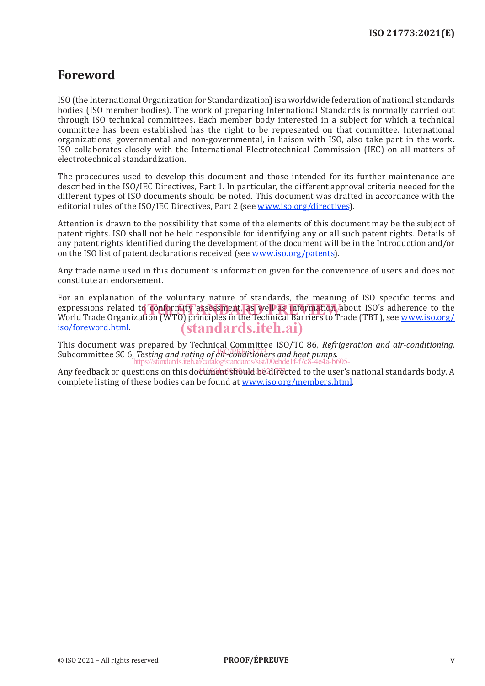### **Foreword**

ISO (the International Organization for Standardization) is a worldwide federation of national standards bodies (ISO member bodies). The work of preparing International Standards is normally carried out through ISO technical committees. Each member body interested in a subject for which a technical committee has been established has the right to be represented on that committee. International organizations, governmental and non-governmental, in liaison with ISO, also take part in the work. ISO collaborates closely with the International Electrotechnical Commission (IEC) on all matters of electrotechnical standardization.

The procedures used to develop this document and those intended for its further maintenance are described in the ISO/IEC Directives, Part 1. In particular, the different approval criteria needed for the different types of ISO documents should be noted. This document was drafted in accordance with the editorial rules of the ISO/IEC Directives, Part 2 (see www.iso.org/directives).

Attention is drawn to the possibility that some of the elements of this document may be the subject of patent rights. ISO shall not be held responsible for identifying any or all such patent rights. Details of any patent rights identified during the development of the document will be in the Introduction and/or on the ISO list of patent declarations received (see www.iso.org/patents).

Any trade name used in this document is information given for the convenience of users and does not constitute an endorsement.

For an explanation of the voluntary nature of standards, the meaning of ISO specific terms and expressions related to conformity assessment, as well as information about ISO's adherence to the experience or<br>World Trade Organization (WTO) principles in the Technical Barriers to Trade (TBT), see www.iso.org/ World Trade Organization (WTO) principles in the Technical Barriers to Trade (TBT), see www.iso.org/ iso/foreword.html. (standards.iteh.ai)

This document was prepared by Technical Committee ISO/TC 86, *Refrigeration and air-conditioning*, Subcommittee SC 6, *Testing and rating of air-conditioners and heat pumps*. standards.iteh.ai/catalog/standards/sist/00ebde1f-f

Any feedback or questions on this document should be diffected to the user's national standards body. A complete listing of these bodies can be found at www.iso.org/members.html.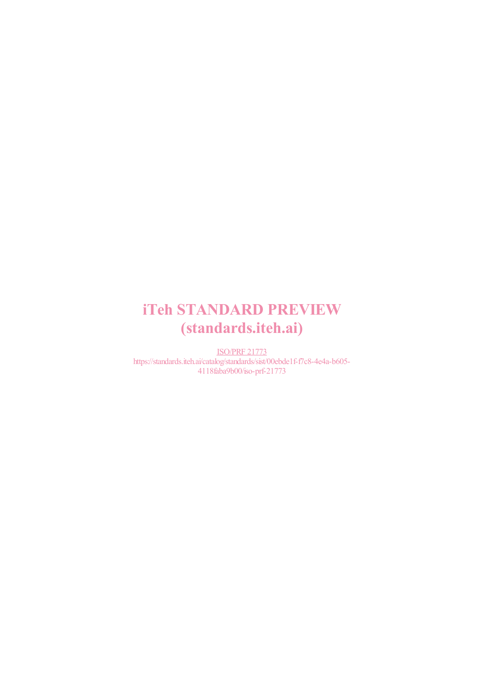# iTeh STANDARD PREVIEW (standards.iteh.ai)

ISO/PRF 21773 https://standards.iteh.ai/catalog/standards/sist/00ebde1f-f7c8-4e4a-b605- 4118faba9b00/iso-prf-21773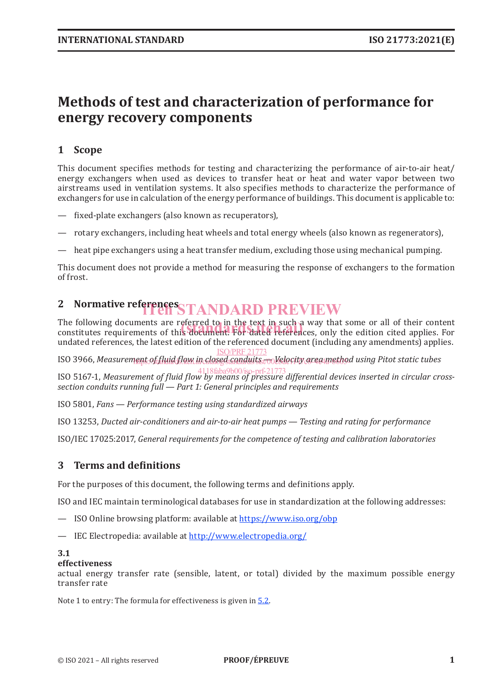## **Methods of test and characterization of performance for energy recovery components**

#### **1 Scope**

This document specifies methods for testing and characterizing the performance of air-to-air heat/ energy exchangers when used as devices to transfer heat or heat and water vapor between two airstreams used in ventilation systems. It also specifies methods to characterize the performance of exchangers for use in calculation of the energy performance of buildings. This document is applicable to:

- fixed-plate exchangers (also known as recuperators),
- rotary exchangers, including heat wheels and total energy wheels (also known as regenerators),
- heat pipe exchangers using a heat transfer medium, excluding those using mechanical pumping.

This document does not provide a method for measuring the response of exchangers to the formation of frost.

# 2 Normative references **STANDARD PREVIEW**

The following documents are referred to in the text in such a way that some or all of their content The following documents are referred to in the text in such a way that some or all of their content<br>constitutes requirements of this document. For dated references, only the edition cited applies. For undated references, the latest edition of the referenced document (including any amendments) applies. **ISO/PRF 2177** 

ISO 3966, Measurem<u>ent of fluid flow in closed conduits <del>vo</del>oVelocity area metho</u>d using Pitot static tubes

ISO 5167-1, *Measurement of fluid flow by means of pressure differential devices inserted in circular cross-*4118faba9b00/iso-prf-21773*section conduits running full — Part 1: General principles and requirements*

ISO 5801, *Fans — Performance testing using standardized airways*

ISO 13253, *Ducted air-conditioners and air-to-air heat pumps — Testing and rating for performance*

ISO/IEC 17025:2017, *General requirements for the competence of testing and calibration laboratories*

#### **3 Terms and definitions**

For the purposes of this document, the following terms and definitions apply.

ISO and IEC maintain terminological databases for use in standardization at the following addresses:

- ISO Online browsing platform: available at https://www.iso.org/obp
- IEC Electropedia: available at http://www.electropedia.org/

#### **3.1**

#### **effectiveness**

actual energy transfer rate (sensible, latent, or total) divided by the maximum possible energy transfer rate

Note 1 to entry: The formula for effectiveness is given in 5.2.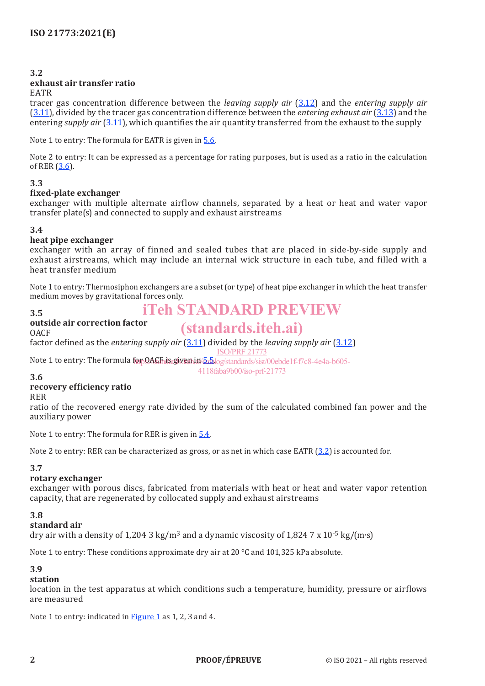#### **3.2**

#### **exhaust air transfer ratio**

EATR

tracer gas concentration difference between the *leaving supply air* (3.12) and the *entering supply air* (3.11), divided by the tracer gas concentration difference between the *entering exhaust air* (3.13) and the entering *supply air* (3.11), which quantifies the air quantity transferred from the exhaust to the supply

Note 1 to entry: The formula for EATR is given in 5.6.

Note 2 to entry: It can be expressed as a percentage for rating purposes, but is used as a ratio in the calculation of RER (3.6).

#### **3.3**

#### **fixed-plate exchanger**

exchanger with multiple alternate airflow channels, separated by a heat or heat and water vapor transfer plate(s) and connected to supply and exhaust airstreams

#### **3.4**

#### **heat pipe exchanger**

exchanger with an array of finned and sealed tubes that are placed in side-by-side supply and exhaust airstreams, which may include an internal wick structure in each tube, and filled with a heat transfer medium

Note 1 to entry: Thermosiphon exchangers are a subset (or type) of heat pipe exchanger in which the heat transfer medium moves by gravitational forces only.

#### **3.5**

## iTeh STANDARD PREVIEW

#### **outside air correction factor**

OACF

factor defined as the *entering supply air* (3.11) divided by the *leaving supply air* (3.12) (standards.iteh.ai)

ISO/PRF 21773

4118faba9b00/iso-prf-21773

Note 1 to entry: The formula for OACF is given in 5.5. Index is the orbital f-f7c8-4e4a-b605-

**3.6**

#### **recovery efficiency ratio**

#### RER

ratio of the recovered energy rate divided by the sum of the calculated combined fan power and the auxiliary power

Note 1 to entry: The formula for RER is given in 5.4.

Note 2 to entry: RER can be characterized as gross, or as net in which case EATR (3.2) is accounted for.

#### **3.7**

#### **rotary exchanger**

exchanger with porous discs, fabricated from materials with heat or heat and water vapor retention capacity, that are regenerated by collocated supply and exhaust airstreams

#### **3.8**

#### **standard air**

dry air with a density of 1,204 3 kg/m<sup>3</sup> and a dynamic viscosity of 1,824 7 x 10<sup>-5</sup> kg/(m⋅s)

Note 1 to entry: These conditions approximate dry air at 20 °C and 101,325 kPa absolute.

#### **3.9**

#### **station**

location in the test apparatus at which conditions such a temperature, humidity, pressure or airflows are measured

Note 1 to entry: indicated in **Figure 1** as 1, 2, 3 and 4.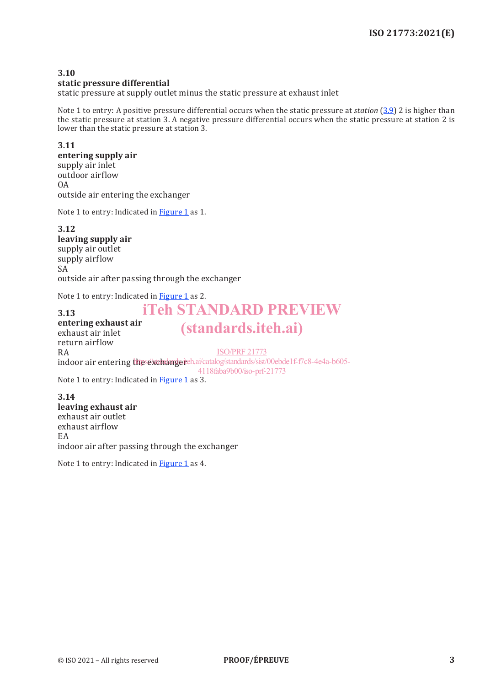#### **3.10**

#### **static pressure differential**

static pressure at supply outlet minus the static pressure at exhaust inlet

Note 1 to entry: A positive pressure differential occurs when the static pressure at *station* (3.9) 2 is higher than the static pressure at station 3. A negative pressure differential occurs when the static pressure at station 2 is lower than the static pressure at station 3.

#### **3.11**

**entering supply air** supply air inlet outdoor airflow OA outside air entering the exchanger

Note 1 to entry: Indicated in Figure 1 as 1.

#### **3.12**

**3.13**

exhaust air inlet return airflow

#### **leaving supply air** supply air outlet supply airflow SA

outside air after passing through the exchanger

Note 1 to entry: Indicated in  $Figure 1$  as 2.

## **entering exhaust air** iTeh STANDARD PREVIEW (standards.iteh.ai)

RA indoor air entering the exchanger chai/catalog/standards/sist/00ebde1f-f7c8-4e4a-b605-ISO/PRF 21773 4118faba9b00/iso-prf-21773

Note 1 to entry: Indicated in Figure 1 as 3.

#### **3.14 leaving exhaust air** exhaust air outlet exhaust airflow EA indoor air after passing through the exchanger

Note 1 to entry: Indicated in **Figure 1** as 4.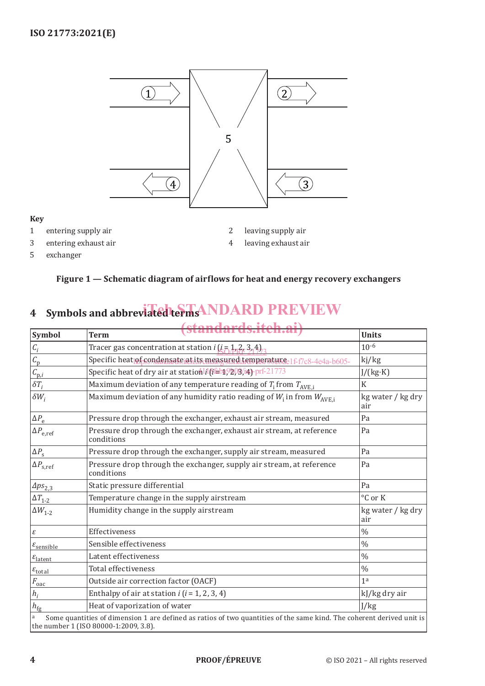

- 
- 3 entering exhaust air **4** leaving exhaust air
- 5 exchanger

**Key**

- 
- 

**Figure 1 — Schematic diagram of airflows for heat and energy recovery exchangers**

# 4 Symbols and abbreviated terms **ANDARD PREVIEW**

| Symbol                                                       | <del>(standards.itch.ai)</del><br><b>Term</b>                                       | <b>Units</b>             |
|--------------------------------------------------------------|-------------------------------------------------------------------------------------|--------------------------|
| $\mathcal{C}_i$                                              | Tracer gas concentration at station $i$ ( $i = 1, 2, 3, 4, 3$                       | $10^{-6}$                |
| $C_{\rm p}$                                                  | Specific heatiof condensate at its measured temperature 1f f7c8-4e4a-b605-          | kj/kg                    |
| $C_{\mathrm{p},i}$                                           | Specific heat of dry air at station 1 (find 1,9208/i4)-prf-21773                    | J/(kg·K)                 |
| $\delta T_i$                                                 | Maximum deviation of any temperature reading of $T_i$ from $T_{AVE,i}$              | K                        |
| $\delta W_i$                                                 | Maximum deviation of any humidity ratio reading of $W_i$ in from $W_{\text{AVE},i}$ | kg water / kg dry<br>air |
| $\Delta P_e$                                                 | Pressure drop through the exchanger, exhaust air stream, measured                   | Pa                       |
| $\Delta P_{\rm e,ref}$                                       | Pressure drop through the exchanger, exhaust air stream, at reference<br>conditions | Pa                       |
| $\Delta P_{\rm s}$                                           | Pressure drop through the exchanger, supply air stream, measured                    | Pa                       |
| $\Delta P_{\rm s,ref}$                                       | Pressure drop through the exchanger, supply air stream, at reference<br>conditions  | Pa                       |
| $\Delta ps_{2,3}$                                            | Static pressure differential                                                        | Pa                       |
| $\Delta T_{1\text{-}2}$                                      | Temperature change in the supply airstream                                          | °C or K                  |
| $\Delta W_{1-2}$                                             | Humidity change in the supply airstream                                             | kg water / kg dry<br>air |
| $\boldsymbol{\mathcal{E}}$                                   | Effectiveness                                                                       | $\frac{0}{0}$            |
| $\varepsilon_{\rm sensible}$                                 | Sensible effectiveness                                                              | $\frac{0}{0}$            |
| $\varepsilon_{\text{latt}}$                                  | Latent effectiveness                                                                | $\frac{0}{0}$            |
| $\varepsilon_{\text{total}}$                                 | Total effectiveness                                                                 | $\frac{0}{0}$            |
| $F_{\text{oac}}$                                             | Outside air correction factor (OACF)                                                | 1 <sup>a</sup>           |
| $h_i\,$                                                      | Enthalpy of air at station $i$ ( $i$ = 1, 2, 3, 4)                                  | kJ/kg dry air            |
| $\ensuremath{\mathnormal{h}}_{\ensuremath{\mathnormal{fg}}}$ | Heat of vaporization of water                                                       | I/kg                     |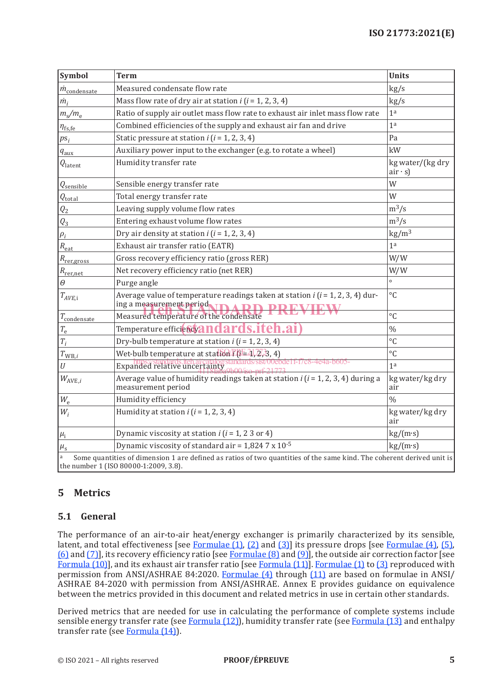| Symbol                         | <b>Term</b>                                                                                                                                                    | <b>Units</b>                      |
|--------------------------------|----------------------------------------------------------------------------------------------------------------------------------------------------------------|-----------------------------------|
| $\dot{m}_{\rm condensate}$     | Measured condensate flow rate                                                                                                                                  | kg/s                              |
| $\dot{m_i}$                    | Mass flow rate of dry air at station $i$ ( $i = 1, 2, 3, 4$ )                                                                                                  | kg/s                              |
| $m_s/m_e$                      | Ratio of supply air outlet mass flow rate to exhaust air inlet mass flow rate                                                                                  | 1 <sup>a</sup>                    |
| $\eta_{\rm fs,fe}$             | Combined efficiencies of the supply and exhaust air fan and drive                                                                                              | 1 <sup>a</sup>                    |
| $ps_i$                         | Static pressure at station $i$ ( $i$ = 1, 2, 3, 4)                                                                                                             | Pa                                |
| $q_{\text{aux}}$               | Auxiliary power input to the exchanger (e.g. to rotate a wheel)                                                                                                | kW                                |
| $Q_{\rm latent}$               | Humidity transfer rate                                                                                                                                         | kg water/(kg dry<br>$air \cdot s$ |
| $Q_{\rm sensible}$             | Sensible energy transfer rate                                                                                                                                  | W                                 |
| $Q_{\underline{\text{total}}}$ | Total energy transfer rate                                                                                                                                     | W                                 |
| $Q_{2}$                        | Leaving supply volume flow rates                                                                                                                               | $m^3/s$                           |
| $Q_3$                          | Entering exhaust volume flow rates                                                                                                                             | $m^3/s$                           |
| $\rho_i$                       | Dry air density at station $i$ ( $i$ = 1, 2, 3, 4)                                                                                                             | $\text{kg/m}^3$                   |
| $R_{\underline{\text{eat}}}$   | Exhaust air transfer ratio (EATR)                                                                                                                              | 1 <sub>a</sub>                    |
| $R_{\text{rer,gross}}$         | Gross recovery efficiency ratio (gross RER)                                                                                                                    | W/W                               |
| $R_{\text{rer,net}}$           | Net recovery efficiency ratio (net RER)                                                                                                                        | W/W                               |
| $\boldsymbol{\theta}$          | Purge angle                                                                                                                                                    | $\circ$                           |
| $T_{AVE,i}$                    | Average value of temperature readings taken at station $i$ ( $i$ = 1, 2, 3, 4) dur-<br>ing a measurement period                                                | $\circ$ C                         |
| $T_{\rm condensate}$           | Measured temperature of the condensate                                                                                                                         | $\rm ^{\circ}C$                   |
| $T_{\rm e}$                    | Temperature efficiency $\mathbf{and } \mathbf{ards}$ , $\mathbf{iteh}$ , $\mathbf{ai})$                                                                        | $\%$                              |
| $T_i$                          | Dry-bulb temperature at station $i$ ( $i$ = 1, 2, 3, 4)                                                                                                        | $\circ$ C                         |
| $T_{\underline{\text{WB}},i}$  | Wet-bulb temperature at station $f(\pm 21, 2, 3, 4)$                                                                                                           | $\rm ^{\circ}C$                   |
| $\boldsymbol{U}$               | bde11-1/c8-4e4a-b605-<br>Expanded relative uncertainty                                                                                                         | 1 <sup>a</sup>                    |
| $W_{\text{AVE},i}$             | Average value of humidity readings taken at station $i$ ( $i = 1, 2, 3, 4$ ) during a<br>measurement period                                                    | kg water/kg dry<br>air            |
| $W_{\rm e}$                    | Humidity efficiency                                                                                                                                            | $\frac{0}{0}$                     |
| $W_i$                          | Humidity at station $i$ ( $i = 1, 2, 3, 4$ )                                                                                                                   | kg water/kg dry<br>air            |
| $\mu_{\rm i}$                  | Dynamic viscosity at station $i$ ( $i$ = 1, 2 3 or 4)                                                                                                          | kg/(m·s)                          |
| $\mu_{\rm s}$                  | Dynamic viscosity of standard air = $1,824$ 7 x $10^{-5}$                                                                                                      | kg/(m·s)                          |
|                                | Some quantities of dimension 1 are defined as ratios of two quantities of the same kind. The coherent derived unit is<br>the number 1 (ISO 80000-1:2009, 3.8). |                                   |

#### **5 Metrics**

#### **5.1 General**

The performance of an air-to-air heat/energy exchanger is primarily characterized by its sensible, latent, and total effectiveness [see Formulae (1), (2) and (3)] its pressure drops [see Formulae (4), (5), (6) and (7)], its recovery efficiency ratio [see Formulae (8) and (9)], the outside air correction factor [see Formula (10)], and its exhaust air transfer ratio [see Formula (11)]. Formulae (1) to (3) reproduced with permission from ANSI/ASHRAE 84:2020. Formulae (4) through (11) are based on formulae in ANSI/ ASHRAE 84-2020 with permission from ANSI/ASHRAE. Annex E provides guidance on equivalence between the metrics provided in this document and related metrics in use in certain other standards.

Derived metrics that are needed for use in calculating the performance of complete systems include sensible energy transfer rate (see Formula (12)), humidity transfer rate (see Formula (13) and enthalpy transfer rate (see Formula (14)).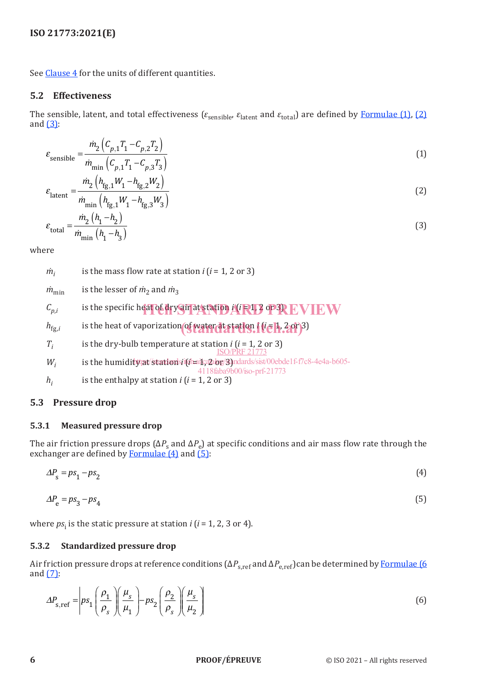See Clause 4 for the units of different quantities.

#### **5.2 Effectiveness**

The sensible, latent, and total effectiveness ( $ε_{\text{sensible}} ε_{\text{latent}}$  and  $ε_{\text{total}}$ ) are defined by Formulae (1), (2) and  $(3)$ :

$$
\varepsilon_{\text{sensible}} = \frac{\dot{m}_2 \left( C_{p,1} T_1 - C_{p,2} T_2 \right)}{\dot{m}_{\text{min}} \left( C_{p,1} T_1 - C_{p,3} T_3 \right)} \tag{1}
$$

$$
\varepsilon_{\text{latent}} = \frac{\dot{m}_2 \left( h_{\text{fg},1} W_1 - h_{\text{fg},2} W_2 \right)}{\dot{m}_{\text{min}} \left( h_{\text{fg},1} W_1 - h_{\text{fg},3} W_3 \right)} \tag{2}
$$

$$
\varepsilon_{\text{total}} = \frac{\dot{m}_2 \left( h_1 - h_2 \right)}{\dot{m}_{\text{min}} \left( h_1 - h_3 \right)} \tag{3}
$$

where

 $\dot{m}_i$  is the mass flow rate at station *i* ( $i = 1, 2$  or 3)

 $\dot{m}_{\text{min}}$  is the lesser of  $\dot{m}_2$  and  $\dot{m}_3$  $\mathcal{C}_{p,i}$  is the specific heat of dry air at station  $i$  (*i* = 1, 2 or 3) EVIEW  $h_{\mathrm{fg},i}$  is the heat of vaporization of water at station  $i$  ( $i \in \mathbb{I}, 2$  or 3)  $T_i$  is the dry-bulb temperature at station *i* ( $i = 1, 2$  or 3)  $W_i$  is the humidity at station sin  $(i)$  = 1, 2  $\log/3$  and ards/sist/00ebde1f-f7c8-4e4a-b605 $h_i$  is the enthalpy at station *i* ( $i = 1, 2$  or 3) ISO/PRI 4118faba9b00/iso-prf-21773

#### **5.3 Pressure drop**

#### **5.3.1 Measured pressure drop**

The air friction pressure drops ( $\Delta P_s$  and  $\Delta P_e$ ) at specific conditions and air mass flow rate through the exchanger are defined by Formulae  $(4)$  and  $(5)$ :

$$
\Delta P_{\rm s} = p s_1 - p s_2 \tag{4}
$$

$$
\Delta P_{\rm e} = p s_3 - p s_4 \tag{5}
$$

where  $ps_i$  is the static pressure at station *i* ( $i$  = 1, 2, 3 or 4).

#### **5.3.2 Standardized pressure drop**

Air friction pressure drops at reference conditions (Δ*P*s,ref and Δ*P*e,ref)can be determined by Formulae (6 and  $(7)$ :

$$
\Delta P_{\rm s,ref} = \left| ps_1 \left( \frac{\rho_1}{\rho_s} \right) \left( \frac{\mu_s}{\mu_1} \right) - ps_2 \left( \frac{\rho_2}{\rho_s} \right) \left( \frac{\mu_s}{\mu_2} \right) \right| \tag{6}
$$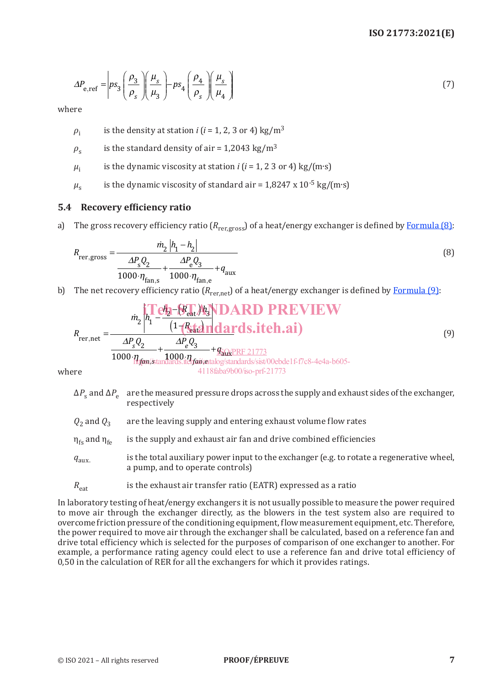$$
\Delta P_{\text{e,ref}} = \left| ps_3 \left( \frac{\rho_3}{\rho_s} \right) \left( \frac{\mu_s}{\mu_3} \right) - ps_4 \left( \frac{\rho_4}{\rho_s} \right) \left( \frac{\mu_s}{\mu_4} \right) \right| \tag{7}
$$

where

- $\rho_i$  is the density at station *i* (*i* = 1, 2, 3 or 4) kg/m<sup>3</sup>
- $\rho_s$  is the standard density of air = 1,2043 kg/m<sup>3</sup>
- $\mu_i$  is the dynamic viscosity at station *i* (*i* = 1, 2 3 or 4) kg/(m⋅s)
- $\mu$ <sub>s</sub> is the dynamic viscosity of standard air = 1,8247 x 10<sup>-5</sup> kg/(m⋅s)

#### **5.4 Recovery efficiency ratio**

a) The gross recovery efficiency ratio ( $R_{\text{re:gross}}$ ) of a heat/energy exchanger is defined by **Formula** (8):

$$
R_{\text{rer,gross}} = \frac{\dot{m}_2 |h_1 - h_2|}{\frac{\Delta P_{\text{S}} Q_2}{1000 \cdot \eta_{\text{fan,s}}} + \frac{\Delta P_{\text{e}} Q_3}{1000 \cdot \eta_{\text{fan,e}}} + q_{\text{aux}}}
$$
(8)

b) The net recovery efficiency ratio ( $R_{\text{rer net}}$ ) of a heat/energy exchanger is defined by Formula (9):

$$
R_{\text{rer,net}} = \frac{m_2 \left| h_1 - \frac{P_{\text{lat}}}{2} + \frac{P_{\text{eat}}}{2} \right| h_1 \sqrt{1 - \frac{P_{\text{dat}}}{2} + \frac{P_{\text{dat}}}{2} + \frac{P_{\text{dat}}}{2} + \frac{P_{\text{dat}}}{2} + \frac{P_{\text{dat}}}{2} + \frac{P_{\text{dd}}}{2} + \frac{P_{\text{dd}}}{2} + \frac{P_{\text{dd}}}{2} + \frac{P_{\text{dd}}}{2} + \frac{P_{\text{dd}}}{2} + \frac{P_{\text{dd}}}{2} + \frac{P_{\text{dd}}}{2} + \frac{P_{\text{dd}}}{2} + \frac{P_{\text{dd}}}{2} + \frac{P_{\text{dd}}}{2} + \frac{P_{\text{dd}}}{2} + \frac{P_{\text{dd}}}{2} + \frac{P_{\text{dd}}}{2} + \frac{P_{\text{dd}}}{2} + \frac{P_{\text{dd}}}{2} + \frac{P_{\text{dd}}}{2} + \frac{P_{\text{dd}}}{2} + \frac{P_{\text{dd}}}{2} + \frac{P_{\text{dd}}}{2} + \frac{P_{\text{dd}}}{2} + \frac{P_{\text{dd}}}{2} + \frac{P_{\text{dd}}}{2} + \frac{P_{\text{dd}}}{2} + \frac{P_{\text{dd}}}{2} + \frac{P_{\text{dd}}}{2} + \frac{P_{\text{dd}}}{2} + \frac{P_{\text{dd}}}{2} + \frac{P_{\text{dd}}}{2} + \frac{P_{\text{dd}}}{2} + \frac{P_{\text{dd}}}{2} + \frac{P_{\text{dd}}}{2} + \frac{P_{\text{dd}}}{2} + \frac{P_{\text{dd}}}{2} + \frac{P_{\text{dd}}}{2} + \frac{P_{\text{dd}}}{2} + \frac{P_{\text{dd}}}{2} + \frac{P_{\text{dd}}}{2} + \frac{P_{\text{dd}}}{2} + \frac{P_{\text{dd}}}{2} + \frac{P_{\text{dd}}}{2} + \frac{P_{\text{dd}}}{2} + \frac{P_{\text{dd}}}{2} + \frac{P_{\text{dd}}}{2} + \frac{P_{\text{dd}}}{2} + \frac{P_{\text{dd}}}{2
$$

where

- $\Delta P_s$  and  $\Delta P_e$  are the measured pressure drops across the supply and exhaust sides of the exchanger, respectively
- $Q_2$  and  $Q_3$  are the leaving supply and entering exhaust volume flow rates
- $\eta_{fs}$  and  $\eta_{fe}$  is the supply and exhaust air fan and drive combined efficiencies
- $q_{\text{aux}}$  is the total auxiliary power input to the exchanger (e.g. to rotate a regenerative wheel, a pump, and to operate controls)
- $R_{\text{out}}$  is the exhaust air transfer ratio (EATR) expressed as a ratio

In laboratory testing of heat/energy exchangers it is not usually possible to measure the power required to move air through the exchanger directly, as the blowers in the test system also are required to overcome friction pressure of the conditioning equipment, flow measurement equipment, etc. Therefore, the power required to move air through the exchanger shall be calculated, based on a reference fan and drive total efficiency which is selected for the purposes of comparison of one exchanger to another. For example, a performance rating agency could elect to use a reference fan and drive total efficiency of 0,50 in the calculation of RER for all the exchangers for which it provides ratings.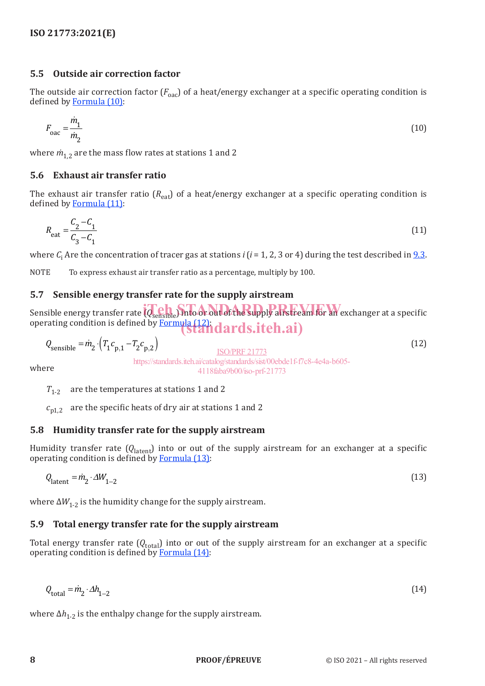#### **5.5 Outside air correction factor**

The outside air correction factor  $(F_{oa})$  of a heat/energy exchanger at a specific operating condition is defined by Formula (10):

$$
F_{\text{oac}} = \frac{\dot{m}_1}{\dot{m}_2} \tag{10}
$$

where  $\dot{m}_{1,2}$  are the mass flow rates at stations 1 and 2

#### **5.6 Exhaust air transfer ratio**

The exhaust air transfer ratio  $(R_{ext})$  of a heat/energy exchanger at a specific operating condition is defined by Formula (11):

$$
R_{\text{eat}} = \frac{C_2 - C_1}{C_3 - C_1} \tag{11}
$$

where *C*<sup>i</sup> Are the concentration of tracer gas at stations *i* (*i* = 1, 2, 3 or 4) during the test described in 9.3.

NOTE To express exhaust air transfer ratio as a percentage, multiply by 100.

#### **5.7 Sensible energy transfer rate for the supply airstream**

Sensible energy transfer rate (*Q*<sub>sensible</sub>) into or out of the supply airstream for an exchanger at a specific operating condition is defined by **Formula**  $(12)$ : **dards.iteh.ai**)

$$
Q_{\text{sensible}} = \dot{m}_2 \cdot \left( T_1 c_{\text{p},1} - T_2 c_{\text{p},2} \right) \tag{12}
$$

ISO/PRF 21773 https://standards.iteh.ai/catalog/standards/sist/00ebde1f-f7c8-4e4a-b605- 4118faba9b00/iso-prf-21773

where

 $T_{1,2}$  are the temperatures at stations 1 and 2

 $c_{n1,2}$  are the specific heats of dry air at stations 1 and 2

#### **5.8 Humidity transfer rate for the supply airstream**

Humidity transfer rate  $(Q<sub>latent</sub>)$  into or out of the supply airstream for an exchanger at a specific operating condition is defined by Formula (13):

$$
Q_{\text{latent}} = \dot{m}_2 \cdot \Delta W_{1-2} \tag{13}
$$

where  $\Delta W_{1-2}$  is the humidity change for the supply airstream.

#### **5.9 Total energy transfer rate for the supply airstream**

Total energy transfer rate  $(Q<sub>total</sub>)$  into or out of the supply airstream for an exchanger at a specific operating condition is defined by Formula (14):

$$
Q_{\text{total}} = \dot{m}_2 \cdot \Delta h_{1-2} \tag{14}
$$

where  $\Delta h_{1-2}$  is the enthalpy change for the supply airstream.